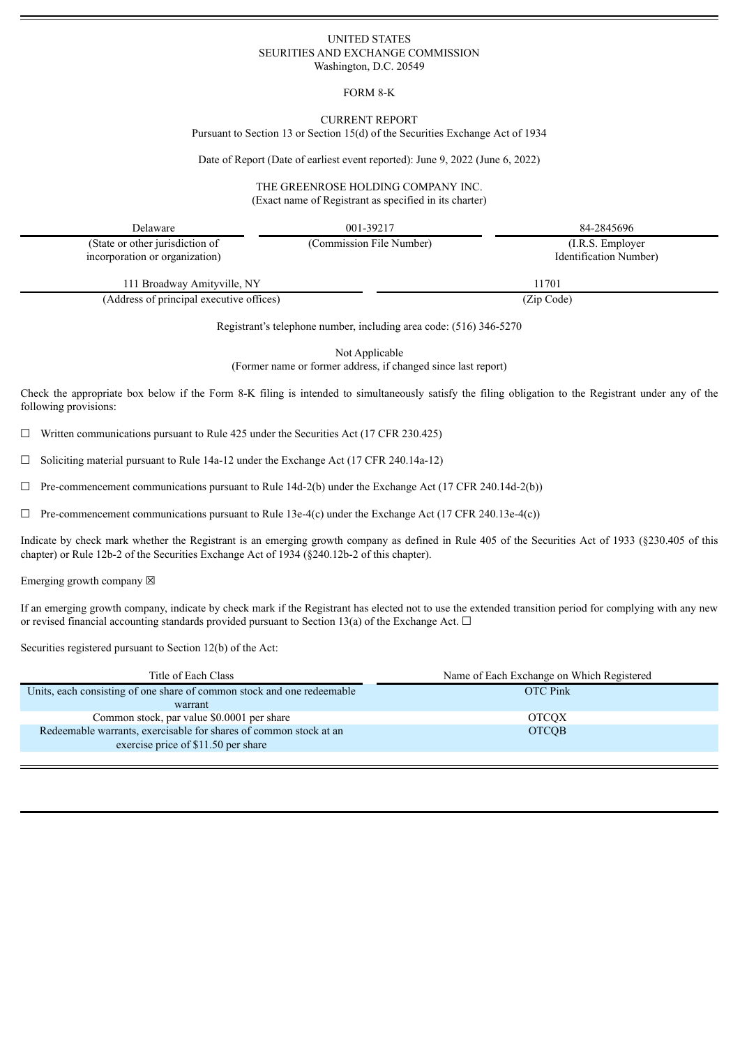## UNITED STATES SEURITIES AND EXCHANGE COMMISSION Washington, D.C. 20549

## FORM 8-K

#### CURRENT REPORT

Pursuant to Section 13 or Section 15(d) of the Securities Exchange Act of 1934

Date of Report (Date of earliest event reported): June 9, 2022 (June 6, 2022)

#### THE GREENROSE HOLDING COMPANY INC. (Exact name of Registrant as specified in its charter)

| Delaware                                                          | 001-39217                | 84-2845696                                   |
|-------------------------------------------------------------------|--------------------------|----------------------------------------------|
| (State or other jurisdiction of<br>incorporation or organization) | (Commission File Number) | $(I.R.S.$ Employer<br>Identification Number) |
| 111 Broadway Amityville, NY                                       |                          | 11701                                        |

(Address of principal executive offices) (Zip Code)

Registrant's telephone number, including area code: (516) 346-5270

Not Applicable

(Former name or former address, if changed since last report)

Check the appropriate box below if the Form 8-K filing is intended to simultaneously satisfy the filing obligation to the Registrant under any of the following provisions:

 $\Box$  Written communications pursuant to Rule 425 under the Securities Act (17 CFR 230.425)

 $\Box$  Soliciting material pursuant to Rule 14a-12 under the Exchange Act (17 CFR 240.14a-12)

 $\Box$  Pre-commencement communications pursuant to Rule 14d-2(b) under the Exchange Act (17 CFR 240.14d-2(b))

 $\Box$  Pre-commencement communications pursuant to Rule 13e-4(c) under the Exchange Act (17 CFR 240.13e-4(c))

Indicate by check mark whether the Registrant is an emerging growth company as defined in Rule 405 of the Securities Act of 1933 (§230.405 of this chapter) or Rule 12b-2 of the Securities Exchange Act of 1934 (§240.12b-2 of this chapter).

Emerging growth company  $\boxtimes$ 

If an emerging growth company, indicate by check mark if the Registrant has elected not to use the extended transition period for complying with any new or revised financial accounting standards provided pursuant to Section 13(a) of the Exchange Act.  $\Box$ 

Securities registered pursuant to Section 12(b) of the Act:

| Title of Each Class                                                                                      | Name of Each Exchange on Which Registered |  |
|----------------------------------------------------------------------------------------------------------|-------------------------------------------|--|
| Units, each consisting of one share of common stock and one redeemable                                   | <b>OTC</b> Pink                           |  |
| warrant                                                                                                  |                                           |  |
| Common stock, par value \$0.0001 per share                                                               | <b>OTCOX</b>                              |  |
| Redeemable warrants, exercisable for shares of common stock at an<br>exercise price of \$11.50 per share | <b>OTCOB</b>                              |  |
|                                                                                                          |                                           |  |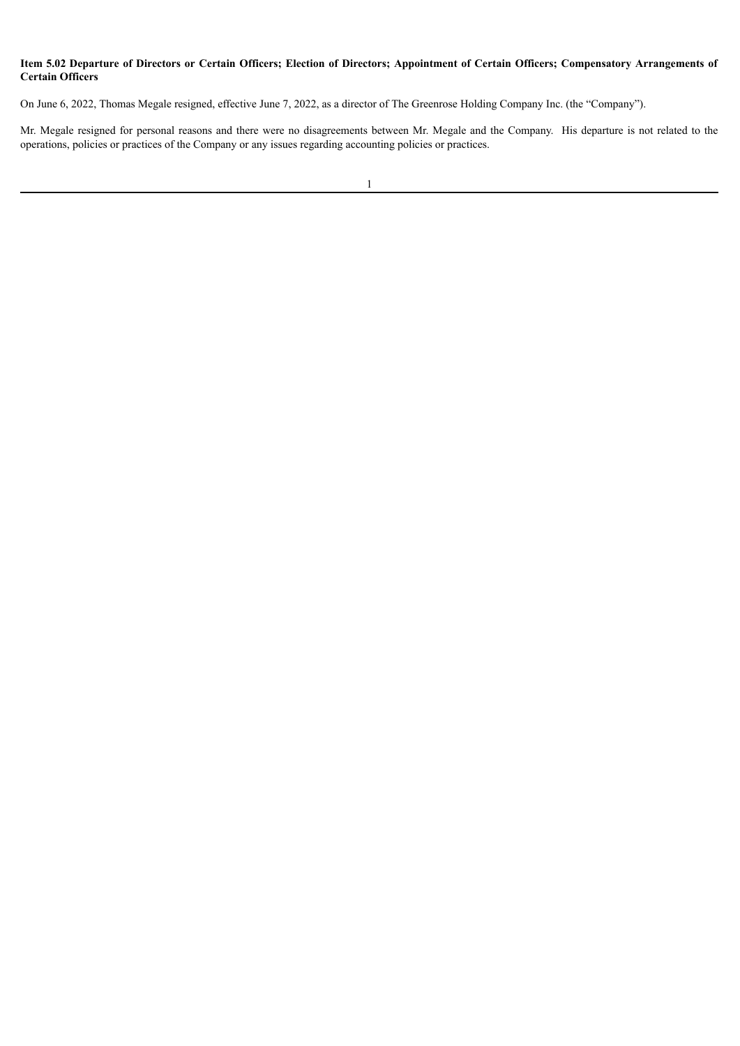# Item 5.02 Departure of Directors or Certain Officers; Election of Directors; Appointment of Certain Officers; Compensatory Arrangements of **Certain Officers**

On June 6, 2022, Thomas Megale resigned, effective June 7, 2022, as a director of The Greenrose Holding Company Inc. (the "Company").

Mr. Megale resigned for personal reasons and there were no disagreements between Mr. Megale and the Company. His departure is not related to the operations, policies or practices of the Company or any issues regarding accounting policies or practices.